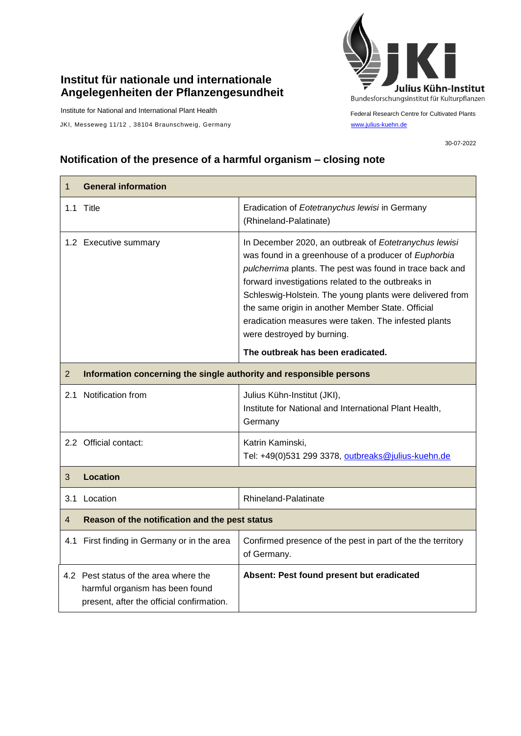## **Institut für nationale und internationale Angelegenheiten der Pflanzengesundheit**

Institute for National and International Plant Health

JKI, Messeweg 11/12, 38104 Braunschweig, Germany [www.julius-kuehn.de](http://www.julius-kuehn.de/)



Federal Research Centre for Cultivated Plants

30-07-2022

## **Notification of the presence of a harmful organism – closing note**

| 1              | <b>General information</b>                                                                                            |                                                                                                                                                                                                                                                                                                                                                                                                                                        |  |
|----------------|-----------------------------------------------------------------------------------------------------------------------|----------------------------------------------------------------------------------------------------------------------------------------------------------------------------------------------------------------------------------------------------------------------------------------------------------------------------------------------------------------------------------------------------------------------------------------|--|
|                | 1.1 Title                                                                                                             | Eradication of Eotetranychus lewisi in Germany<br>(Rhineland-Palatinate)                                                                                                                                                                                                                                                                                                                                                               |  |
|                | 1.2 Executive summary                                                                                                 | In December 2020, an outbreak of Eotetranychus lewisi<br>was found in a greenhouse of a producer of Euphorbia<br>pulcherrima plants. The pest was found in trace back and<br>forward investigations related to the outbreaks in<br>Schleswig-Holstein. The young plants were delivered from<br>the same origin in another Member State. Official<br>eradication measures were taken. The infested plants<br>were destroyed by burning. |  |
|                |                                                                                                                       | The outbreak has been eradicated.                                                                                                                                                                                                                                                                                                                                                                                                      |  |
| $\overline{2}$ | Information concerning the single authority and responsible persons                                                   |                                                                                                                                                                                                                                                                                                                                                                                                                                        |  |
|                | 2.1 Notification from                                                                                                 | Julius Kühn-Institut (JKI),<br>Institute for National and International Plant Health,<br>Germany                                                                                                                                                                                                                                                                                                                                       |  |
|                | 2.2 Official contact:                                                                                                 | Katrin Kaminski,<br>Tel: +49(0)531 299 3378, outbreaks@julius-kuehn.de                                                                                                                                                                                                                                                                                                                                                                 |  |
| 3              | <b>Location</b>                                                                                                       |                                                                                                                                                                                                                                                                                                                                                                                                                                        |  |
| 3.1            | Location                                                                                                              | Rhineland-Palatinate                                                                                                                                                                                                                                                                                                                                                                                                                   |  |
| $\overline{4}$ | Reason of the notification and the pest status                                                                        |                                                                                                                                                                                                                                                                                                                                                                                                                                        |  |
|                | 4.1 First finding in Germany or in the area                                                                           | Confirmed presence of the pest in part of the the territory<br>of Germany.                                                                                                                                                                                                                                                                                                                                                             |  |
|                | 4.2 Pest status of the area where the<br>harmful organism has been found<br>present, after the official confirmation. | Absent: Pest found present but eradicated                                                                                                                                                                                                                                                                                                                                                                                              |  |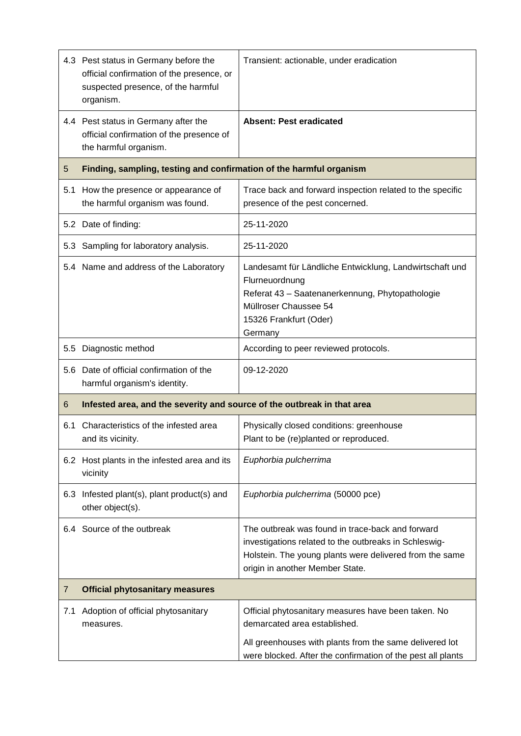|     | 4.3 Pest status in Germany before the<br>official confirmation of the presence, or<br>suspected presence, of the harmful<br>organism. | Transient: actionable, under eradication                                                                                                                                                                      |  |
|-----|---------------------------------------------------------------------------------------------------------------------------------------|---------------------------------------------------------------------------------------------------------------------------------------------------------------------------------------------------------------|--|
|     | 4.4 Pest status in Germany after the<br>official confirmation of the presence of<br>the harmful organism.                             | <b>Absent: Pest eradicated</b>                                                                                                                                                                                |  |
| 5   | Finding, sampling, testing and confirmation of the harmful organism                                                                   |                                                                                                                                                                                                               |  |
| 5.1 | How the presence or appearance of<br>the harmful organism was found.                                                                  | Trace back and forward inspection related to the specific<br>presence of the pest concerned.                                                                                                                  |  |
|     | 5.2 Date of finding:                                                                                                                  | 25-11-2020                                                                                                                                                                                                    |  |
|     | 5.3 Sampling for laboratory analysis.                                                                                                 | 25-11-2020                                                                                                                                                                                                    |  |
|     | 5.4 Name and address of the Laboratory                                                                                                | Landesamt für Ländliche Entwicklung, Landwirtschaft und<br>Flurneuordnung<br>Referat 43 - Saatenanerkennung, Phytopathologie<br>Müllroser Chaussee 54<br>15326 Frankfurt (Oder)<br>Germany                    |  |
|     | 5.5 Diagnostic method                                                                                                                 | According to peer reviewed protocols.                                                                                                                                                                         |  |
|     | 5.6 Date of official confirmation of the<br>harmful organism's identity.                                                              | 09-12-2020                                                                                                                                                                                                    |  |
| 6   | Infested area, and the severity and source of the outbreak in that area                                                               |                                                                                                                                                                                                               |  |
| 6.1 | Characteristics of the infested area<br>and its vicinity.                                                                             | Physically closed conditions: greenhouse<br>Plant to be (re)planted or reproduced.                                                                                                                            |  |
|     | 6.2 Host plants in the infested area and its<br>vicinity                                                                              | Euphorbia pulcherrima                                                                                                                                                                                         |  |
|     | 6.3 Infested plant(s), plant product(s) and<br>other object(s).                                                                       | Euphorbia pulcherrima (50000 pce)                                                                                                                                                                             |  |
|     | 6.4 Source of the outbreak                                                                                                            | The outbreak was found in trace-back and forward<br>investigations related to the outbreaks in Schleswig-<br>Holstein. The young plants were delivered from the same<br>origin in another Member State.       |  |
| 7   | <b>Official phytosanitary measures</b>                                                                                                |                                                                                                                                                                                                               |  |
| 7.1 | Adoption of official phytosanitary<br>measures.                                                                                       | Official phytosanitary measures have been taken. No<br>demarcated area established.<br>All greenhouses with plants from the same delivered lot<br>were blocked. After the confirmation of the pest all plants |  |